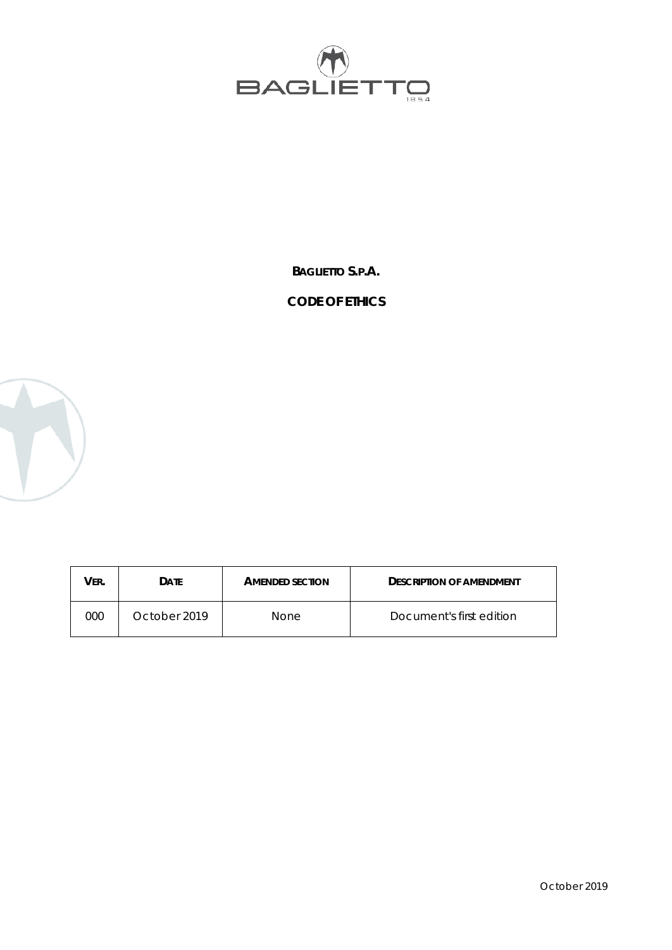

**BAGLIETTO S.P.A.**

# **CODE OF ETHICS**



| <b>VER.</b> | <b>DATE</b>  | <b>AMENDED SECTION</b> | <b>DESCRIPTION OF AMENDMENT</b> |
|-------------|--------------|------------------------|---------------------------------|
| 000         | October 2019 | None                   | Document's first edition        |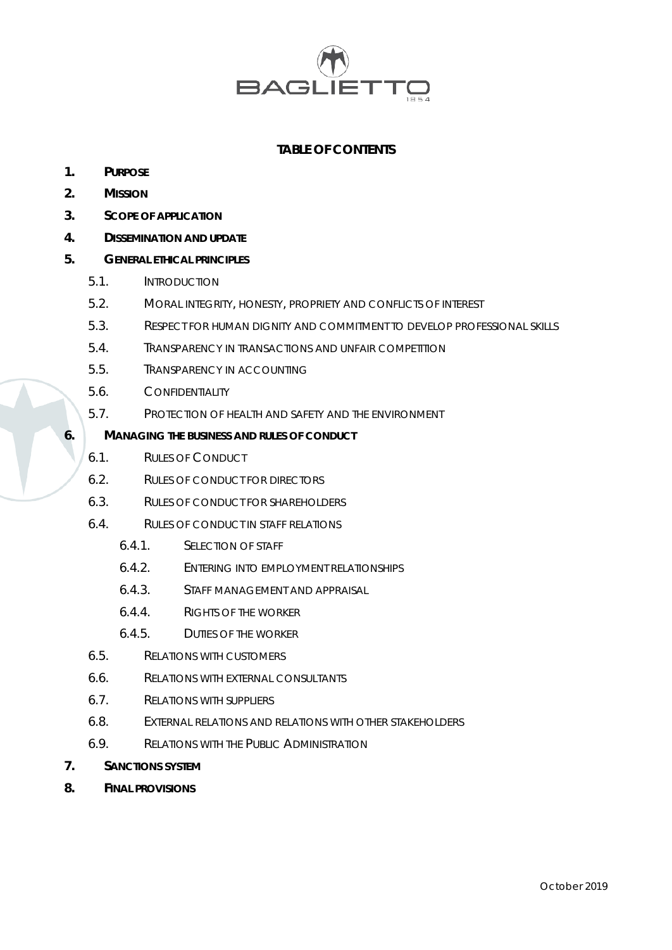

# **TABLE OF CONTENTS**

- **1. PURPOSE**
- **2. MISSION**
- **3. SCOPE OF APPLICATION**
- **4. DISSEMINATION AND UPDATE**

# **5. GENERAL ETHICAL PRINCIPLES**

- 5.1. INTRODUCTION
- 5.2. MORAL INTEGRITY, HONESTY, PROPRIETY AND CONFLICTS OF INTEREST
- 5.3. RESPECT FOR HUMAN DIGNITY AND COMMITMENT TO DEVELOP PROFESSIONAL SKILLS
- 5.4. TRANSPARENCY IN TRANSACTIONS AND UNFAIR COMPETITION
- 5.5. TRANSPARENCY IN ACCOUNTING
- 5.6. CONFIDENTIALITY
- 5.7. PROTECTION OF HEALTH AND SAFETY AND THE ENVIRONMENT

#### **6. MANAGING THE BUSINESS AND RULES OF CONDUCT**

- 6.1. RULES OF CONDUCT
- 6.2. RULES OF CONDUCT FOR DIRECTORS
- 6.3. RULES OF CONDUCT FOR SHAREHOLDERS
- 6.4. RULES OF CONDUCT IN STAFF RELATIONS
	- 6.4.1. SELECTION OF STAFF
	- 6.4.2. ENTERING INTO EMPLOYMENT RELATIONSHIPS
	- 6.4.3. STAFF MANAGEMENT AND APPRAISAL
	- 6.4.4. RIGHTS OF THE WORKER
	- 6.4.5. DUTIES OF THE WORKER
- 6.5. RELATIONS WITH CUSTOMERS
- 6.6. RELATIONS WITH EXTERNAL CONSULTANTS
- 6.7. RELATIONS WITH SUPPLIERS
- 6.8. EXTERNAL RELATIONS AND RELATIONS WITH OTHER STAKEHOLDERS
- 6.9. RELATIONS WITH THE PUBLIC ADMINISTRATION
- **7. SANCTIONS SYSTEM**
- **8. FINAL PROVISIONS**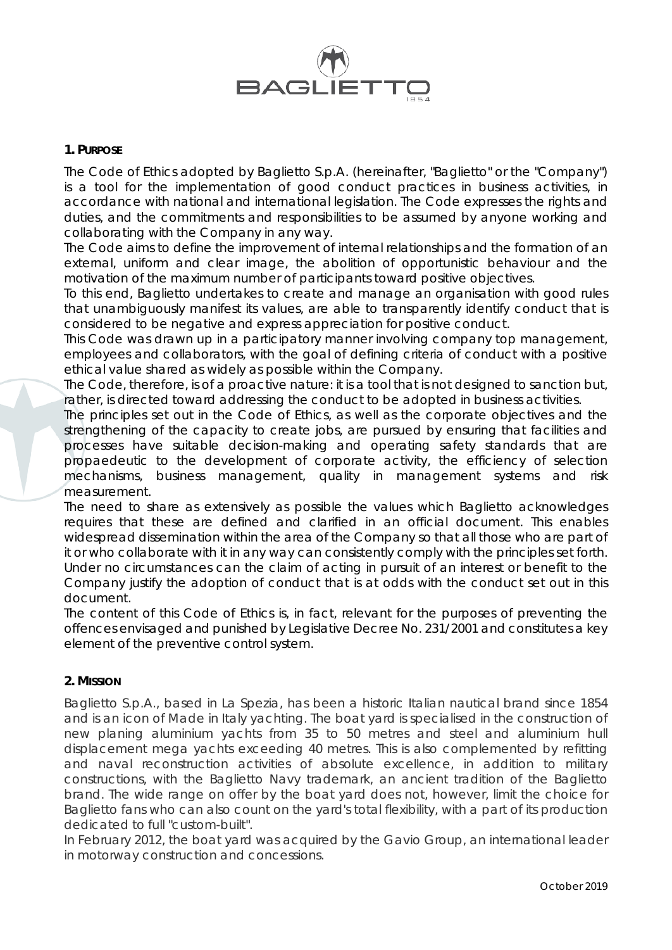

## **1. PURPOSE**

The Code of Ethics adopted by Baglietto S.p.A. (hereinafter, "Baglietto" or the "Company") is a tool for the implementation of good conduct practices in business activities, in accordance with national and international legislation. The Code expresses the rights and duties, and the commitments and responsibilities to be assumed by anyone working and collaborating with the Company in any way.

The Code aims to define the improvement of internal relationships and the formation of an external, uniform and clear image, the abolition of opportunistic behaviour and the motivation of the maximum number of participants toward positive objectives.

To this end, Baglietto undertakes to create and manage an organisation with good rules that unambiguously manifest its values, are able to transparently identify conduct that is considered to be negative and express appreciation for positive conduct.

This Code was drawn up in a participatory manner involving company top management, employees and collaborators, with the goal of defining criteria of conduct with a positive ethical value shared as widely as possible within the Company.

The Code, therefore, is of a proactive nature: it is a tool that is not designed to sanction but, rather, is directed toward addressing the conduct to be adopted in business activities.

The principles set out in the Code of Ethics, as well as the corporate objectives and the strengthening of the capacity to create jobs, are pursued by ensuring that facilities and processes have suitable decision-making and operating safety standards that are propaedeutic to the development of corporate activity, the efficiency of selection mechanisms, business management, quality in management systems and risk measurement.

The need to share as extensively as possible the values which Baglietto acknowledges requires that these are defined and clarified in an official document. This enables widespread dissemination within the area of the Company so that all those who are part of it or who collaborate with it in any way can consistently comply with the principles set forth. Under no circumstances can the claim of acting in pursuit of an interest or benefit to the Company justify the adoption of conduct that is at odds with the conduct set out in this document.

The content of this Code of Ethics is, in fact, relevant for the purposes of preventing the offences envisaged and punished by Legislative Decree No. 231/2001 and constitutes a key element of the preventive control system.

# **2. MISSION**

Baglietto S.p.A., based in La Spezia, has been a historic Italian nautical brand since 1854 and is an icon of Made in Italy yachting. The boat yard is specialised in the construction of new planing aluminium yachts from 35 to 50 metres and steel and aluminium hull displacement mega yachts exceeding 40 metres. This is also complemented by refitting and naval reconstruction activities of absolute excellence, in addition to military constructions, with the Baglietto Navy trademark, an ancient tradition of the Baglietto brand. The wide range on offer by the boat yard does not, however, limit the choice for Baglietto fans who can also count on the yard's total flexibility, with a part of its production dedicated to full "custom-built".

In February 2012, the boat yard was acquired by the Gavio Group, an international leader in motorway construction and concessions.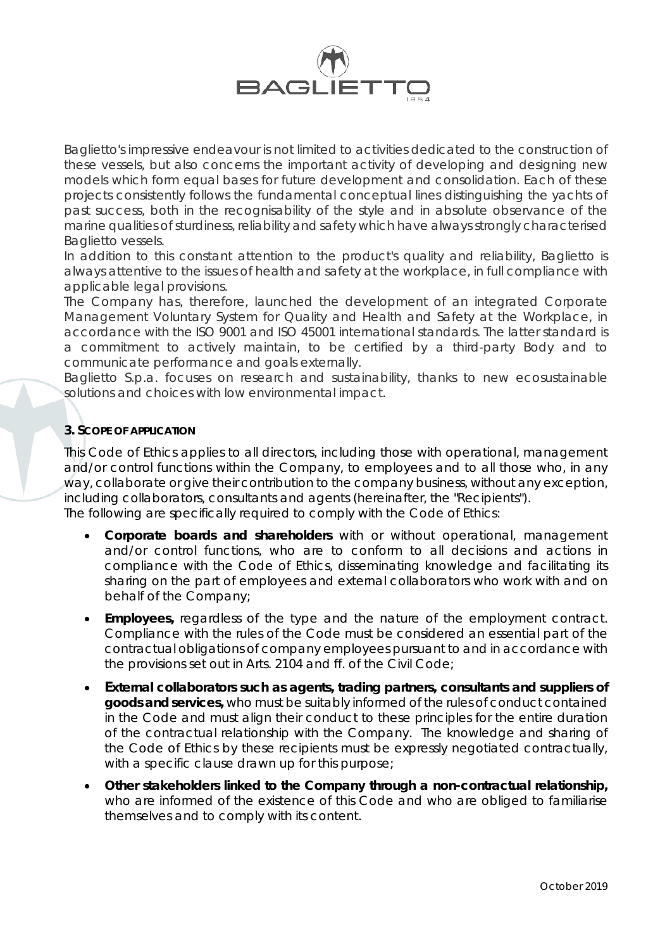

Baglietto's impressive endeavour is not limited to activities dedicated to the construction of these vessels, but also concerns the important activity of developing and designing new models which form equal bases for future development and consolidation. Each of these projects consistently follows the fundamental conceptual lines distinguishing the yachts of past success, both in the recognisability of the style and in absolute observance of the marine qualities of sturdiness, reliability and safety which have always strongly characterised Baglietto vessels.

In addition to this constant attention to the product's quality and reliability, Baglietto is always attentive to the issues of health and safety at the workplace, in full compliance with applicable legal provisions.

The Company has, therefore, launched the development of an integrated Corporate Management Voluntary System for Quality and Health and Safety at the Workplace, in accordance with the ISO 9001 and ISO 45001 international standards. The latter standard is a commitment to actively maintain, to be certified by a third-party Body and to communicate performance and goals externally.

Baglietto S.p.a. focuses on research and sustainability, thanks to new ecosustainable solutions and choices with low environmental impact.

# **3. SCOPE OF APPLICATION**

This Code of Ethics applies to all directors, including those with operational, management and/or control functions within the Company, to employees and to all those who, in any way, collaborate or give their contribution to the company business, without any exception, including collaborators, consultants and agents (hereinafter, the "Recipients"). The following are specifically required to comply with the Code of Ethics:

- **Corporate boards and shareholders** with or without operational, management and/or control functions, who are to conform to all decisions and actions in compliance with the Code of Ethics, disseminating knowledge and facilitating its sharing on the part of employees and external collaborators who work with and on behalf of the Company;
- **Employees,** regardless of the type and the nature of the employment contract. Compliance with the rules of the Code must be considered an essential part of the contractual obligations of company employees pursuant to and in accordance with the provisions set out in Arts. 2104 and ff. of the Civil Code;
- **External collaborators such as agents, trading partners, consultants and suppliers of goods and services,** who must be suitably informed of the rules of conduct contained in the Code and must align their conduct to these principles for the entire duration of the contractual relationship with the Company. The knowledge and sharing of the Code of Ethics by these recipients must be expressly negotiated contractually, with a specific clause drawn up for this purpose;
- **Other stakeholders linked to the Company through a non-contractual relationship,** who are informed of the existence of this Code and who are obliged to familiarise themselves and to comply with its content.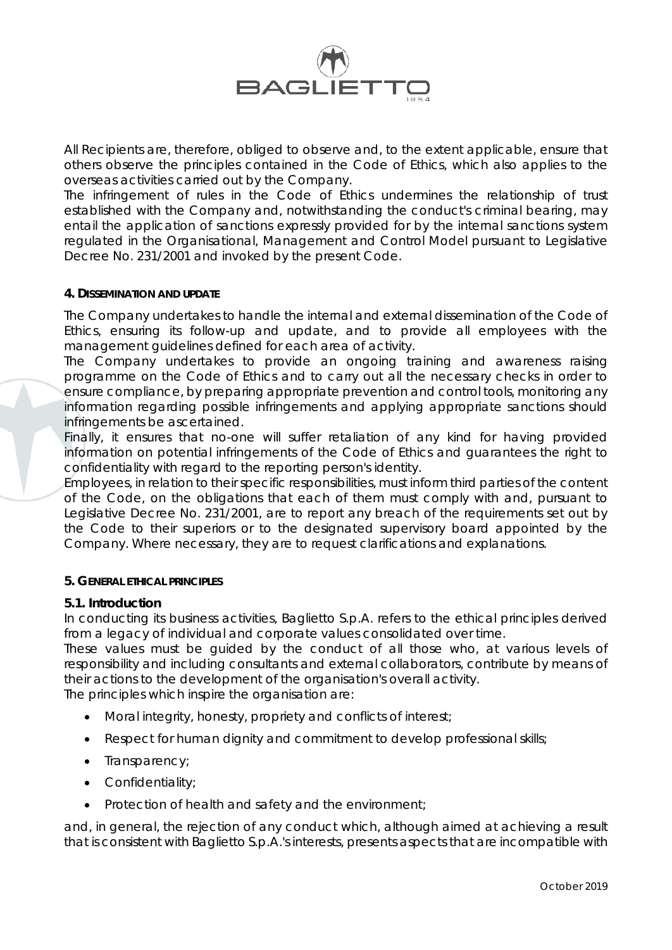

All Recipients are, therefore, obliged to observe and, to the extent applicable, ensure that others observe the principles contained in the Code of Ethics, which also applies to the overseas activities carried out by the Company.

The infringement of rules in the Code of Ethics undermines the relationship of trust established with the Company and, notwithstanding the conduct's criminal bearing, may entail the application of sanctions expressly provided for by the internal sanctions system regulated in the Organisational, Management and Control Model pursuant to Legislative Decree No. 231/2001 and invoked by the present Code.

## **4. DISSEMINATION AND UPDATE**

The Company undertakes to handle the internal and external dissemination of the Code of Ethics, ensuring its follow-up and update, and to provide all employees with the management guidelines defined for each area of activity.

The Company undertakes to provide an ongoing training and awareness raising programme on the Code of Ethics and to carry out all the necessary checks in order to ensure compliance, by preparing appropriate prevention and control tools, monitoring any information regarding possible infringements and applying appropriate sanctions should infringements be ascertained.

Finally, it ensures that no-one will suffer retaliation of any kind for having provided information on potential infringements of the Code of Ethics and guarantees the right to confidentiality with regard to the reporting person's identity.

Employees, in relation to their specific responsibilities, must inform third parties of the content of the Code, on the obligations that each of them must comply with and, pursuant to Legislative Decree No. 231/2001, are to report any breach of the requirements set out by the Code to their superiors or to the designated supervisory board appointed by the Company. Where necessary, they are to request clarifications and explanations.

#### **5. GENERAL ETHICAL PRINCIPLES**

#### **5.1. Introduction**

In conducting its business activities, Baglietto S.p.A. refers to the ethical principles derived from a legacy of individual and corporate values consolidated over time.

These values must be guided by the conduct of all those who, at various levels of responsibility and including consultants and external collaborators, contribute by means of their actions to the development of the organisation's overall activity.

The principles which inspire the organisation are:

- Moral integrity, honesty, propriety and conflicts of interest;
- Respect for human dignity and commitment to develop professional skills;
- Transparency;
- Confidentiality;
- Protection of health and safety and the environment;

and, in general, the rejection of any conduct which, although aimed at achieving a result that is consistent with Baglietto S.p.A.'s interests, presents aspects that are incompatible with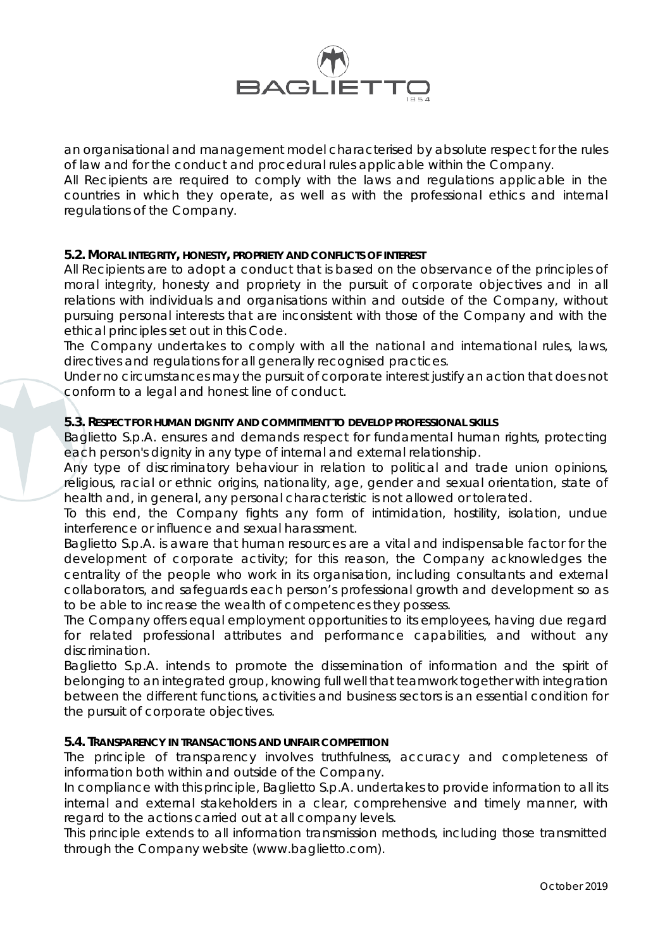

an organisational and management model characterised by absolute respect for the rules of law and for the conduct and procedural rules applicable within the Company.

All Recipients are required to comply with the laws and regulations applicable in the countries in which they operate, as well as with the professional ethics and internal regulations of the Company.

## **5.2. MORAL INTEGRITY, HONESTY, PROPRIETY AND CONFLICTS OF INTEREST**

All Recipients are to adopt a conduct that is based on the observance of the principles of moral integrity, honesty and propriety in the pursuit of corporate objectives and in all relations with individuals and organisations within and outside of the Company, without pursuing personal interests that are inconsistent with those of the Company and with the ethical principles set out in this Code.

The Company undertakes to comply with all the national and international rules, laws, directives and regulations for all generally recognised practices.

Under no circumstances may the pursuit of corporate interest justify an action that does not conform to a legal and honest line of conduct.

#### **5.3. RESPECT FOR HUMAN DIGNITY AND COMMITMENT TO DEVELOP PROFESSIONAL SKILLS**

Baglietto S.p.A. ensures and demands respect for fundamental human rights, protecting each person's dignity in any type of internal and external relationship.

Any type of discriminatory behaviour in relation to political and trade union opinions, religious, racial or ethnic origins, nationality, age, gender and sexual orientation, state of health and, in general, any personal characteristic is not allowed or tolerated.

To this end, the Company fights any form of intimidation, hostility, isolation, undue interference or influence and sexual harassment.

Baglietto S.p.A. is aware that human resources are a vital and indispensable factor for the development of corporate activity; for this reason, the Company acknowledges the centrality of the people who work in its organisation, including consultants and external collaborators, and safeguards each person's professional growth and development so as to be able to increase the wealth of competences they possess.

The Company offers equal employment opportunities to its employees, having due regard for related professional attributes and performance capabilities, and without any discrimination.

Baglietto S.p.A. intends to promote the dissemination of information and the spirit of belonging to an integrated group, knowing full well that teamwork together with integration between the different functions, activities and business sectors is an essential condition for the pursuit of corporate objectives.

## **5.4. TRANSPARENCY IN TRANSACTIONS AND UNFAIR COMPETITION**

The principle of transparency involves truthfulness, accuracy and completeness of information both within and outside of the Company.

In compliance with this principle, Baglietto S.p.A. undertakes to provide information to all its internal and external stakeholders in a clear, comprehensive and timely manner, with regard to the actions carried out at all company levels.

This principle extends to all information transmission methods, including those transmitted through the Company website (www.baglietto.com).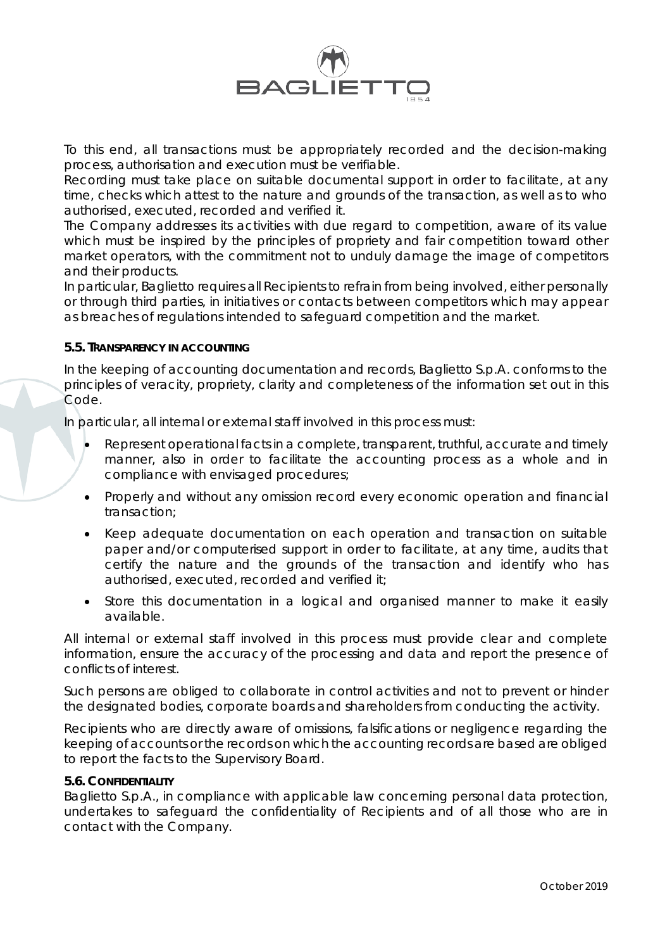

To this end, all transactions must be appropriately recorded and the decision-making process, authorisation and execution must be verifiable.

Recording must take place on suitable documental support in order to facilitate, at any time, checks which attest to the nature and grounds of the transaction, as well as to who authorised, executed, recorded and verified it.

The Company addresses its activities with due regard to competition, aware of its value which must be inspired by the principles of propriety and fair competition toward other market operators, with the commitment not to unduly damage the image of competitors and their products.

In particular, Baglietto requires all Recipients to refrain from being involved, either personally or through third parties, in initiatives or contacts between competitors which may appear as breaches of regulations intended to safeguard competition and the market.

## **5.5. TRANSPARENCY IN ACCOUNTING**

In the keeping of accounting documentation and records, Baglietto S.p.A. conforms to the principles of veracity, propriety, clarity and completeness of the information set out in this Code.

In particular, all internal or external staff involved in this process must:

- Represent operational facts in a complete, transparent, truthful, accurate and timely manner, also in order to facilitate the accounting process as a whole and in compliance with envisaged procedures;
- Properly and without any omission record every economic operation and financial transaction;
- Keep adequate documentation on each operation and transaction on suitable paper and/or computerised support in order to facilitate, at any time, audits that certify the nature and the grounds of the transaction and identify who has authorised, executed, recorded and verified it;
- Store this documentation in a logical and organised manner to make it easily available.

All internal or external staff involved in this process must provide clear and complete information, ensure the accuracy of the processing and data and report the presence of conflicts of interest.

Such persons are obliged to collaborate in control activities and not to prevent or hinder the designated bodies, corporate boards and shareholders from conducting the activity.

Recipients who are directly aware of omissions, falsifications or negligence regarding the keeping of accounts or the records on which the accounting records are based are obliged to report the facts to the Supervisory Board.

#### **5.6. CONFIDENTIALITY**

Baglietto S.p.A., in compliance with applicable law concerning personal data protection, undertakes to safeguard the confidentiality of Recipients and of all those who are in contact with the Company.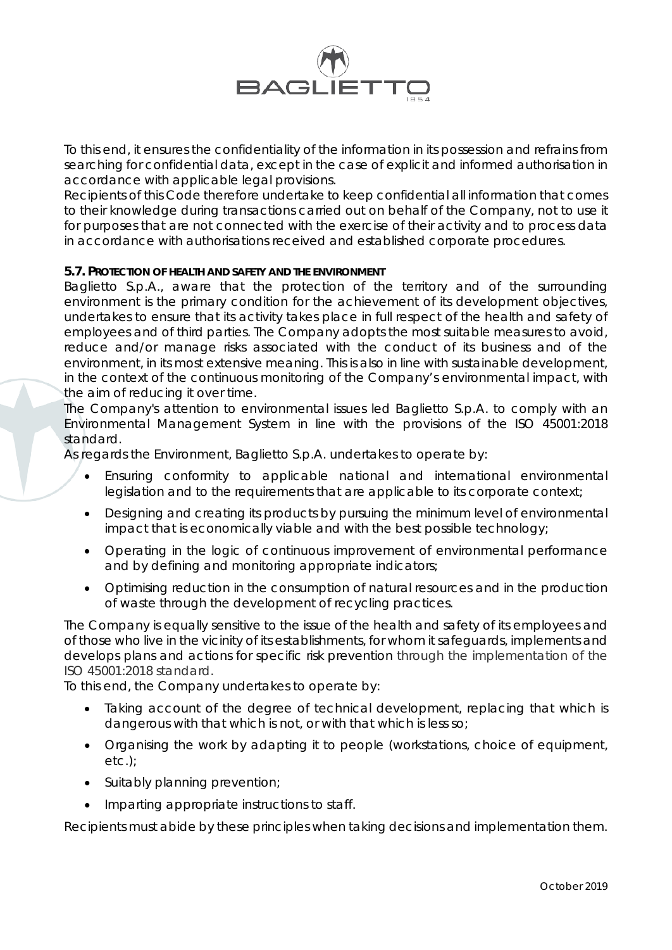

To this end, it ensures the confidentiality of the information in its possession and refrains from searching for confidential data, except in the case of explicit and informed authorisation in accordance with applicable legal provisions.

Recipients of this Code therefore undertake to keep confidential all information that comes to their knowledge during transactions carried out on behalf of the Company, not to use it for purposes that are not connected with the exercise of their activity and to process data in accordance with authorisations received and established corporate procedures.

## **5.7. PROTECTION OF HEALTH AND SAFETY AND THE ENVIRONMENT**

Baglietto S.p.A., aware that the protection of the territory and of the surrounding environment is the primary condition for the achievement of its development objectives, undertakes to ensure that its activity takes place in full respect of the health and safety of employees and of third parties. The Company adopts the most suitable measures to avoid, reduce and/or manage risks associated with the conduct of its business and of the environment, in its most extensive meaning. This is also in line with sustainable development, in the context of the continuous monitoring of the Company's environmental impact, with the aim of reducing it over time.

The Company's attention to environmental issues led Baglietto S.p.A. to comply with an Environmental Management System in line with the provisions of the ISO 45001:2018 standard.

As regards the Environment, Baglietto S.p.A. undertakes to operate by:

- Ensuring conformity to applicable national and international environmental legislation and to the requirements that are applicable to its corporate context;
- Designing and creating its products by pursuing the minimum level of environmental impact that is economically viable and with the best possible technology;
- Operating in the logic of continuous improvement of environmental performance and by defining and monitoring appropriate indicators;
- Optimising reduction in the consumption of natural resources and in the production of waste through the development of recycling practices.

The Company is equally sensitive to the issue of the health and safety of its employees and of those who live in the vicinity of its establishments, for whom it safeguards, implements and develops plans and actions for specific risk prevention through the implementation of the ISO 45001:2018 standard.

To this end, the Company undertakes to operate by:

- Taking account of the degree of technical development, replacing that which is dangerous with that which is not, or with that which is less so;
- Organising the work by adapting it to people (workstations, choice of equipment, etc.);
- Suitably planning prevention;
- Imparting appropriate instructions to staff.

Recipients must abide by these principles when taking decisions and implementation them.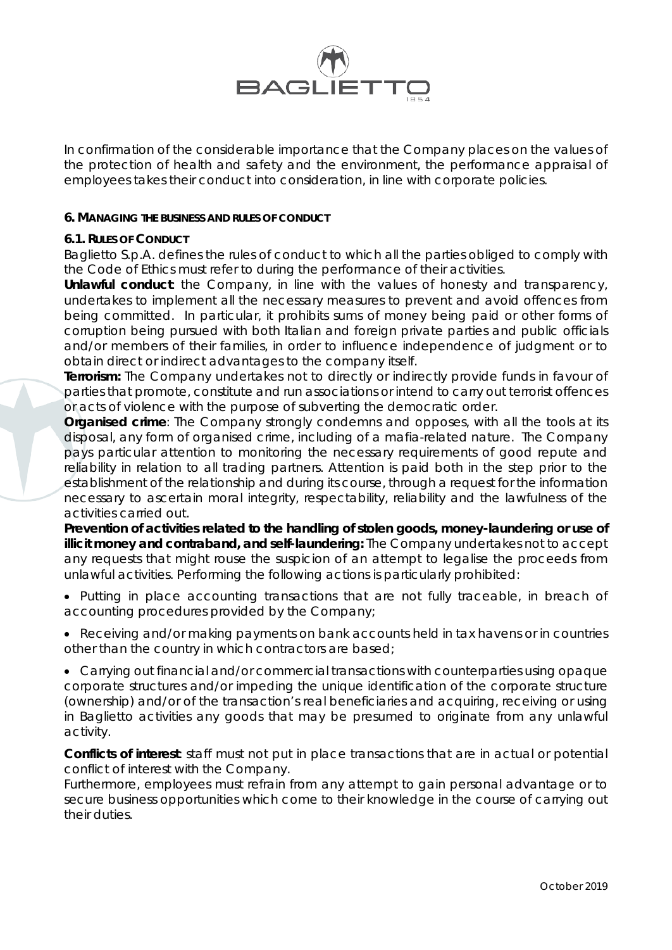

In confirmation of the considerable importance that the Company places on the values of the protection of health and safety and the environment, the performance appraisal of employees takes their conduct into consideration, in line with corporate policies.

#### **6. MANAGING THE BUSINESS AND RULES OF CONDUCT**

# **6.1. RULES OF CONDUCT**

Baglietto S.p.A. defines the rules of conduct to which all the parties obliged to comply with the Code of Ethics must refer to during the performance of their activities.

*Unlawful conduct*: the Company, in line with the values of honesty and transparency, undertakes to implement all the necessary measures to prevent and avoid offences from being committed. In particular, it prohibits sums of money being paid or other forms of corruption being pursued with both Italian and foreign private parties and public officials and/or members of their families, in order to influence independence of judgment or to obtain direct or indirect advantages to the company itself.

**Terrorism:** The Company undertakes not to directly or indirectly provide funds in favour of parties that promote, constitute and run associations or intend to carry out terrorist offences or acts of violence with the purpose of subverting the democratic order.

*Organised crime:* The Company strongly condemns and opposes, with all the tools at its disposal, any form of organised crime, including of a mafia-related nature. The Company pays particular attention to monitoring the necessary requirements of good repute and reliability in relation to all trading partners. Attention is paid both in the step prior to the establishment of the relationship and during its course, through a request for the information necessary to ascertain moral integrity, respectability, reliability and the lawfulness of the activities carried out.

*Prevention of activities related to the handling of stolen goods, money-laundering or use of illicit money and contraband, and self-laundering:* The Company undertakes not to accept any requests that might rouse the suspicion of an attempt to legalise the proceeds from unlawful activities. Performing the following actions is particularly prohibited:

- Putting in place accounting transactions that are not fully traceable, in breach of accounting procedures provided by the Company;
- Receiving and/or making payments on bank accounts held in tax havens or in countries other than the country in which contractors are based;
- Carrying out financial and/or commercial transactions with counterparties using opaque corporate structures and/or impeding the unique identification of the corporate structure (ownership) and/or of the transaction's real beneficiaries and acquiring, receiving or using in Baglietto activities any goods that may be presumed to originate from any unlawful activity.

*Conflicts of interest:* staff must not put in place transactions that are in actual or potential conflict of interest with the Company.

Furthermore, employees must refrain from any attempt to gain personal advantage or to secure business opportunities which come to their knowledge in the course of carrying out their duties.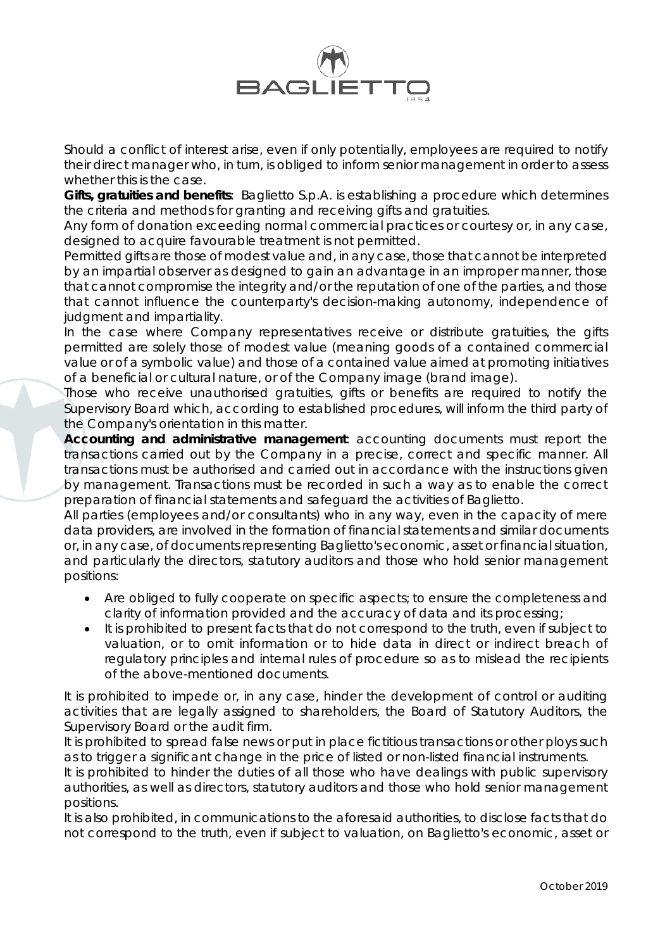

Should a conflict of interest arise, even if only potentially, employees are required to notify their direct manager who, in turn, is obliged to inform senior management in order to assess whether this is the case.

*Gifts, gratuities and benefits*: Baglietto S.p.A. is establishing a procedure which determines the criteria and methods for granting and receiving gifts and gratuities.

Any form of donation exceeding normal commercial practices or courtesy or, in any case, designed to acquire favourable treatment is not permitted.

Permitted gifts are those of modest value and, in any case, those that cannot be interpreted by an impartial observer as designed to gain an advantage in an improper manner, those that cannot compromise the integrity and/or the reputation of one of the parties, and those that cannot influence the counterparty's decision-making autonomy, independence of judgment and impartiality.

In the case where Company representatives receive or distribute gratuities, the gifts permitted are solely those of modest value (meaning goods of a contained commercial value or of a symbolic value) and those of a contained value aimed at promoting initiatives of a beneficial or cultural nature, or of the Company image (*brand image*).

Those who receive unauthorised gratuities, gifts or benefits are required to notify the Supervisory Board which, according to established procedures, will inform the third party of the Company's orientation in this matter.

*Accounting and administrative management*: accounting documents must report the transactions carried out by the Company in a precise, correct and specific manner. All transactions must be authorised and carried out in accordance with the instructions given by management. Transactions must be recorded in such a way as to enable the correct preparation of financial statements and safeguard the activities of Baglietto.

All parties (employees and/or consultants) who in any way, even in the capacity of mere data providers, are involved in the formation of financial statements and similar documents or, in any case, of documents representing Baglietto's economic, asset or financial situation, and particularly the directors, statutory auditors and those who hold senior management positions:

- Are obliged to fully cooperate on specific aspects; to ensure the completeness and clarity of information provided and the accuracy of data and its processing;
- It is prohibited to present facts that do not correspond to the truth, even if subject to valuation, or to omit information or to hide data in direct or indirect breach of regulatory principles and internal rules of procedure so as to mislead the recipients of the above-mentioned documents.

It is prohibited to impede or, in any case, hinder the development of control or auditing activities that are legally assigned to shareholders, the Board of Statutory Auditors, the Supervisory Board or the audit firm.

It is prohibited to spread false news or put in place fictitious transactions or other ploys such as to trigger a significant change in the price of listed or non-listed financial instruments.

It is prohibited to hinder the duties of all those who have dealings with public supervisory authorities, as well as directors, statutory auditors and those who hold senior management positions.

It is also prohibited, in communications to the aforesaid authorities, to disclose facts that do not correspond to the truth, even if subject to valuation, on Baglietto's economic, asset or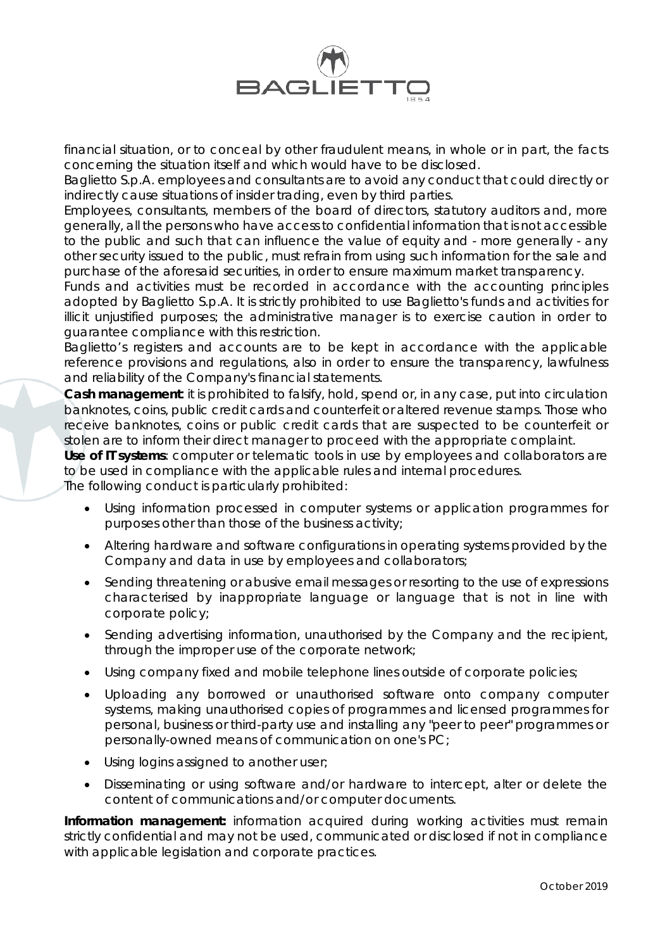

financial situation, or to conceal by other fraudulent means, in whole or in part, the facts concerning the situation itself and which would have to be disclosed.

Baglietto S.p.A. employees and consultants are to avoid any conduct that could directly or indirectly cause situations of insider trading, even by third parties.

Employees, consultants, members of the board of directors, statutory auditors and, more generally, all the persons who have access to confidential information that is not accessible to the public and such that can influence the value of equity and - more generally - any other security issued to the public, must refrain from using such information for the sale and purchase of the aforesaid securities, in order to ensure maximum market transparency.

Funds and activities must be recorded in accordance with the accounting principles adopted by Baglietto S.p.A. It is strictly prohibited to use Baglietto's funds and activities for illicit unjustified purposes; the administrative manager is to exercise caution in order to guarantee compliance with this restriction.

Baglietto's registers and accounts are to be kept in accordance with the applicable reference provisions and regulations, also in order to ensure the transparency, lawfulness and reliability of the Company's financial statements.

*Cash management*: it is prohibited to falsify, hold, spend or, in any case, put into circulation banknotes, coins, public credit cards and counterfeit or altered revenue stamps. Those who receive banknotes, coins or public credit cards that are suspected to be counterfeit or stolen are to inform their direct manager to proceed with the appropriate complaint.

*Use of IT systems:* computer or telematic tools in use by employees and collaborators are to be used in compliance with the applicable rules and internal procedures.

The following conduct is particularly prohibited:

- Using information processed in computer systems or application programmes for purposes other than those of the business activity;
- Altering hardware and software configurations in operating systems provided by the Company and data in use by employees and collaborators;
- Sending threatening or abusive email messages or resorting to the use of expressions characterised by inappropriate language or language that is not in line with corporate policy;
- Sending advertising information, unauthorised by the Company and the recipient, through the improper use of the corporate network;
- Using company fixed and mobile telephone lines outside of corporate policies;
- Uploading any borrowed or unauthorised software onto company computer systems, making unauthorised copies of programmes and licensed programmes for personal, business or third-party use and installing any "peer to peer" programmes or personally-owned means of communication on one's PC;
- Using logins assigned to another user;
- Disseminating or using software and/or hardware to intercept, alter or delete the content of communications and/or computer documents.

**Information management:** information acquired during working activities must remain strictly confidential and may not be used, communicated or disclosed if not in compliance with applicable legislation and corporate practices.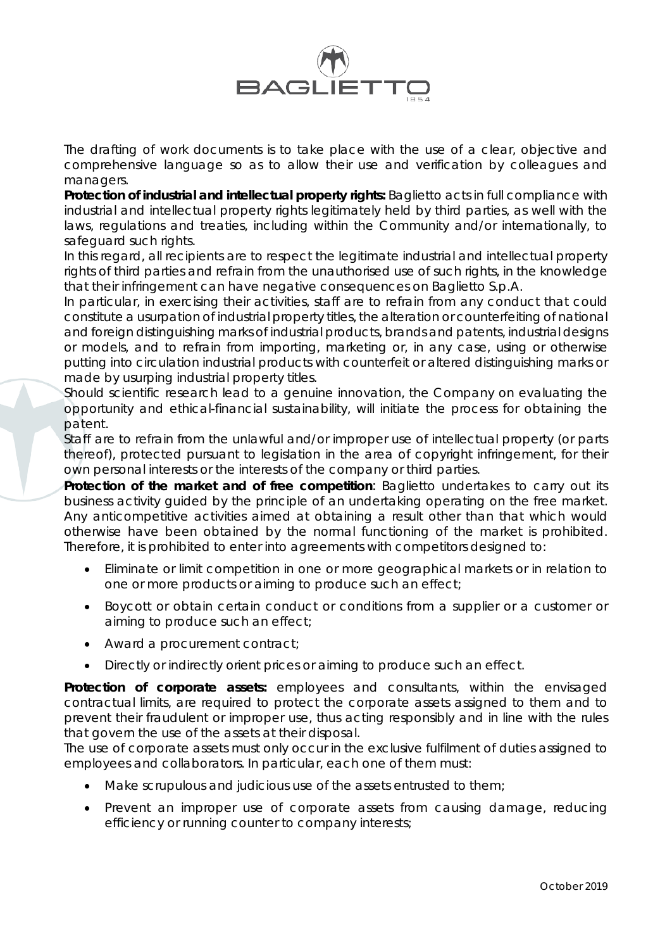

The drafting of work documents is to take place with the use of a clear, objective and comprehensive language so as to allow their use and verification by colleagues and managers.

*Protection of industrial and intellectual property rights:* Baglietto acts in full compliance with industrial and intellectual property rights legitimately held by third parties, as well with the laws, regulations and treaties, including within the Community and/or internationally, to safeguard such rights.

In this regard, all recipients are to respect the legitimate industrial and intellectual property rights of third parties and refrain from the unauthorised use of such rights, in the knowledge that their infringement can have negative consequences on Baglietto S.p.A.

In particular, in exercising their activities, staff are to refrain from any conduct that could constitute a usurpation of industrial property titles, the alteration or counterfeiting of national and foreign distinguishing marks of industrial products, brands and patents, industrial designs or models, and to refrain from importing, marketing or, in any case, using or otherwise putting into circulation industrial products with counterfeit or altered distinguishing marks or made by usurping industrial property titles.

Should scientific research lead to a genuine innovation, the Company on evaluating the opportunity and ethical-financial sustainability, will initiate the process for obtaining the patent.

Staff are to refrain from the unlawful and/or improper use of intellectual property (or parts thereof), protected pursuant to legislation in the area of copyright infringement, for their own personal interests or the interests of the company or third parties.

**Protection of the market and of free competition**: Baglietto undertakes to carry out its business activity guided by the principle of an undertaking operating on the free market. Any anticompetitive activities aimed at obtaining a result other than that which would otherwise have been obtained by the normal functioning of the market is prohibited. Therefore, it is prohibited to enter into agreements with competitors designed to:

- Eliminate or limit competition in one or more geographical markets or in relation to one or more products or aiming to produce such an effect;
- Boycott or obtain certain conduct or conditions from a supplier or a customer or aiming to produce such an effect;
- Award a procurement contract;
- Directly or indirectly orient prices or aiming to produce such an effect.

**Protection of corporate assets:** employees and consultants, within the envisaged contractual limits, are required to protect the corporate assets assigned to them and to prevent their fraudulent or improper use, thus acting responsibly and in line with the rules that govern the use of the assets at their disposal.

The use of corporate assets must only occur in the exclusive fulfilment of duties assigned to employees and collaborators. In particular, each one of them must:

- Make scrupulous and judicious use of the assets entrusted to them;
- Prevent an improper use of corporate assets from causing damage, reducing efficiency or running counter to company interests;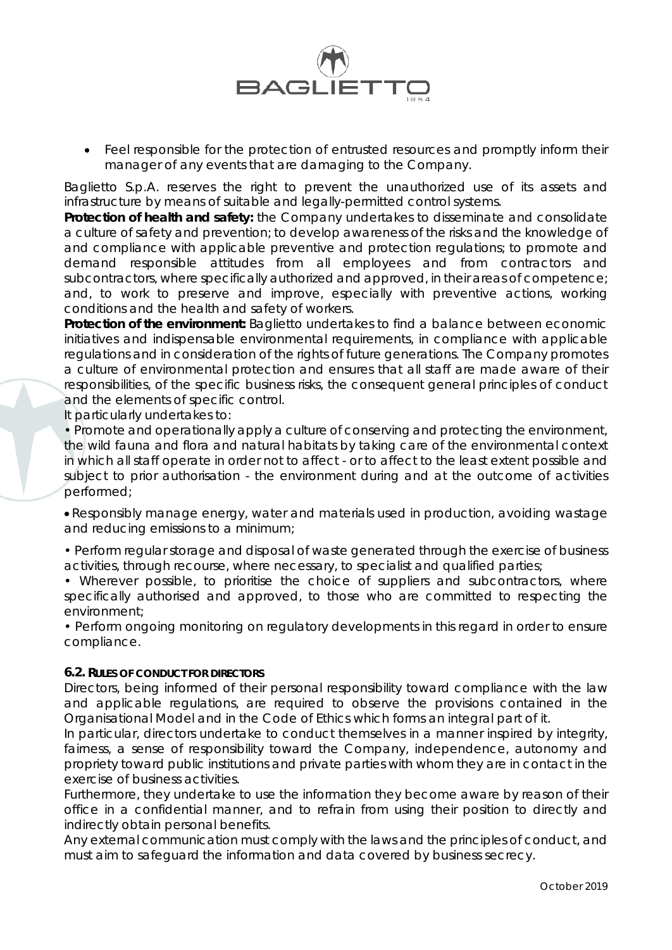

• Feel responsible for the protection of entrusted resources and promptly inform their manager of any events that are damaging to the Company.

Baglietto S.p.A. reserves the right to prevent the unauthorized use of its assets and infrastructure by means of suitable and legally-permitted control systems.

*Protection of health and safety***:** the Company undertakes to disseminate and consolidate a culture of safety and prevention; to develop awareness of the risks and the knowledge of and compliance with applicable preventive and protection regulations; to promote and demand responsible attitudes from all employees and from contractors and subcontractors, where specifically authorized and approved, in their areas of competence; and, to work to preserve and improve, especially with preventive actions, working conditions and the health and safety of workers.

**Protection of the environment:** Baglietto undertakes to find a balance between economic initiatives and indispensable environmental requirements, in compliance with applicable regulations and in consideration of the rights of future generations. The Company promotes a culture of environmental protection and ensures that all staff are made aware of their responsibilities, of the specific business risks, the consequent general principles of conduct and the elements of specific control.

It particularly undertakes to:

• Promote and operationally apply a culture of conserving and protecting the environment, the wild fauna and flora and natural habitats by taking care of the environmental context in which all staff operate in order not to affect - or to affect to the least extent possible and subject to prior authorisation - the environment during and at the outcome of activities performed;

• Responsibly manage energy, water and materials used in production, avoiding wastage and reducing emissions to a minimum;

• Perform regular storage and disposal of waste generated through the exercise of business activities, through recourse, where necessary, to specialist and qualified parties;

• Wherever possible, to prioritise the choice of suppliers and subcontractors, where specifically authorised and approved, to those who are committed to respecting the environment;

• Perform ongoing monitoring on regulatory developments in this regard in order to ensure compliance.

# **6.2. RULES OF CONDUCT FOR DIRECTORS**

Directors, being informed of their personal responsibility toward compliance with the law and applicable regulations, are required to observe the provisions contained in the Organisational Model and in the Code of Ethics which forms an integral part of it.

In particular, directors undertake to conduct themselves in a manner inspired by integrity, fairness, a sense of responsibility toward the Company, independence, autonomy and propriety toward public institutions and private parties with whom they are in contact in the exercise of business activities.

Furthermore, they undertake to use the information they become aware by reason of their office in a confidential manner, and to refrain from using their position to directly and indirectly obtain personal benefits.

Any external communication must comply with the laws and the principles of conduct, and must aim to safeguard the information and data covered by business secrecy.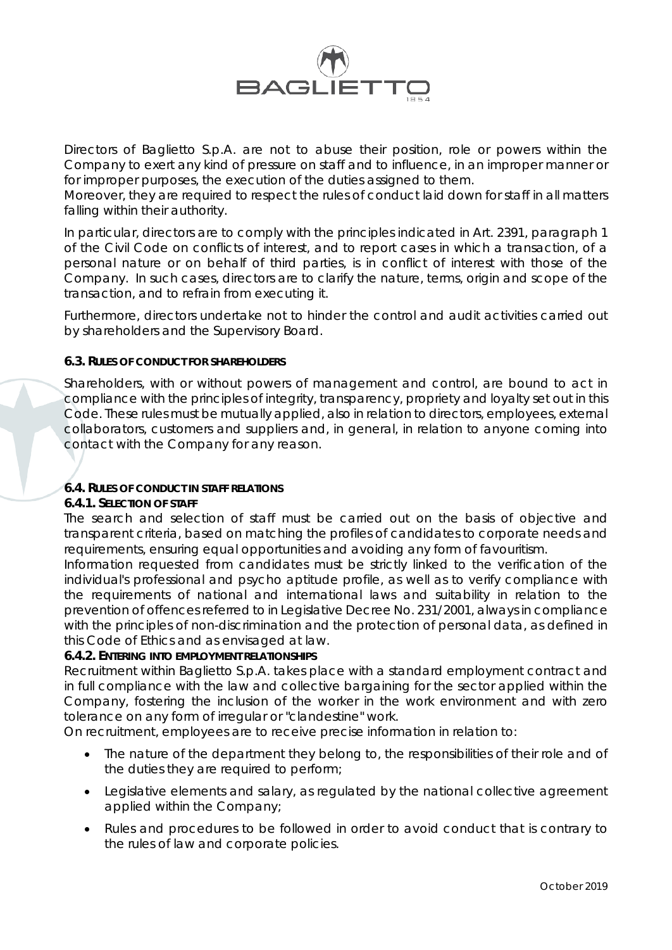

Directors of Baglietto S.p.A. are not to abuse their position, role or powers within the Company to exert any kind of pressure on staff and to influence, in an improper manner or for improper purposes, the execution of the duties assigned to them.

Moreover, they are required to respect the rules of conduct laid down for staff in all matters falling within their authority.

In particular, directors are to comply with the principles indicated in Art. 2391, paragraph 1 of the Civil Code on conflicts of interest, and to report cases in which a transaction, of a personal nature or on behalf of third parties, is in conflict of interest with those of the Company. In such cases, directors are to clarify the nature, terms, origin and scope of the transaction, and to refrain from executing it.

Furthermore, directors undertake not to hinder the control and audit activities carried out by shareholders and the Supervisory Board.

## **6.3. RULES OF CONDUCT FOR SHAREHOLDERS**

Shareholders, with or without powers of management and control, are bound to act in compliance with the principles of integrity, transparency, propriety and loyalty set out in this Code. These rules must be mutually applied, also in relation to directors, employees, external collaborators, customers and suppliers and, in general, in relation to anyone coming into contact with the Company for any reason.

# **6.4. RULES OF CONDUCT IN STAFF RELATIONS**

#### **6.4.1. SELECTION OF STAFF**

The search and selection of staff must be carried out on the basis of objective and transparent criteria, based on matching the profiles of candidates to corporate needs and requirements, ensuring equal opportunities and avoiding any form of favouritism.

Information requested from candidates must be strictly linked to the verification of the individual's professional and psycho aptitude profile, as well as to verify compliance with the requirements of national and international laws and suitability in relation to the prevention of offences referred to in Legislative Decree No. 231/2001, always in compliance with the principles of non-discrimination and the protection of personal data, as defined in this Code of Ethics and as envisaged at law.

# **6.4.2. ENTERING INTO EMPLOYMENT RELATIONSHIPS**

Recruitment within Baglietto S.p.A. takes place with a standard employment contract and in full compliance with the law and collective bargaining for the sector applied within the Company, fostering the inclusion of the worker in the work environment and with zero tolerance on any form of irregular or "clandestine" work.

On recruitment, employees are to receive precise information in relation to:

- The nature of the department they belong to, the responsibilities of their role and of the duties they are required to perform;
- Legislative elements and salary, as regulated by the national collective agreement applied within the Company;
- Rules and procedures to be followed in order to avoid conduct that is contrary to the rules of law and corporate policies.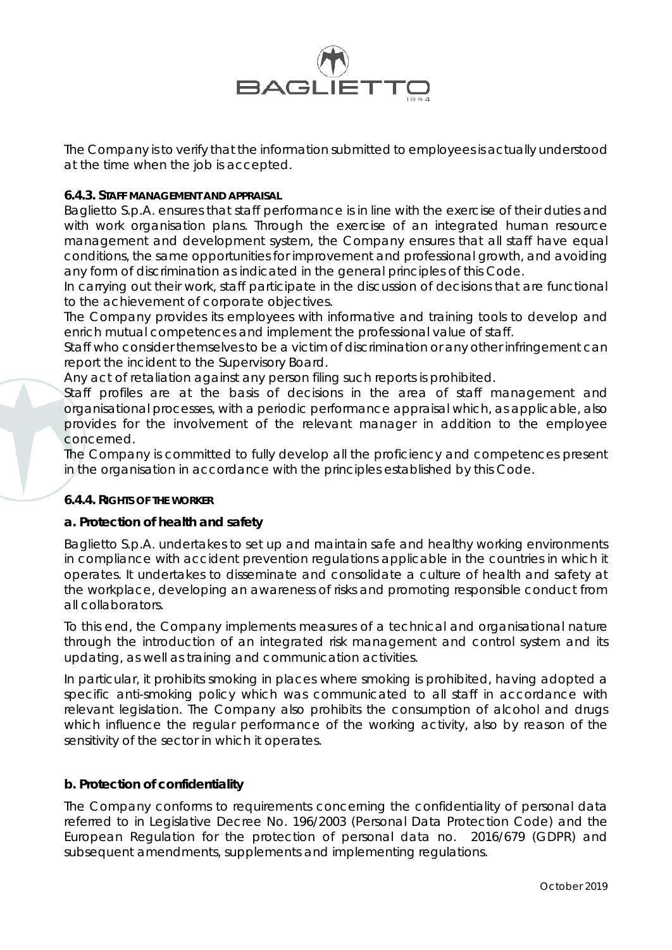

The Company is to verify that the information submitted to employees is actually understood at the time when the job is accepted.

# **6.4.3. STAFF MANAGEMENT AND APPRAISAL**

Baglietto S.p.A. ensures that staff performance is in line with the exercise of their duties and with work organisation plans. Through the exercise of an integrated human resource management and development system, the Company ensures that all staff have equal conditions, the same opportunities for improvement and professional growth, and avoiding any form of discrimination as indicated in the general principles of this Code.

In carrying out their work, staff participate in the discussion of decisions that are functional to the achievement of corporate objectives.

The Company provides its employees with informative and training tools to develop and enrich mutual competences and implement the professional value of staff.

Staff who consider themselves to be a victim of discrimination or any other infringement can report the incident to the Supervisory Board.

Any act of retaliation against any person filing such reports is prohibited.

Staff profiles are at the basis of decisions in the area of staff management and organisational processes, with a periodic performance appraisal which, as applicable, also provides for the involvement of the relevant manager in addition to the employee concerned.

The Company is committed to fully develop all the proficiency and competences present in the organisation in accordance with the principles established by this Code.

# **6.4.4. RIGHTS OF THE WORKER**

# **a. Protection of health and safety**

Baglietto S.p.A. undertakes to set up and maintain safe and healthy working environments in compliance with accident prevention regulations applicable in the countries in which it operates. It undertakes to disseminate and consolidate a culture of health and safety at the workplace, developing an awareness of risks and promoting responsible conduct from all collaborators.

To this end, the Company implements measures of a technical and organisational nature through the introduction of an integrated risk management and control system and its updating, as well as training and communication activities.

In particular, it prohibits smoking in places where smoking is prohibited, having adopted a specific anti-smoking policy which was communicated to all staff in accordance with relevant legislation. The Company also prohibits the consumption of alcohol and drugs which influence the regular performance of the working activity, also by reason of the sensitivity of the sector in which it operates.

# **b. Protection of confidentiality**

The Company conforms to requirements concerning the confidentiality of personal data referred to in Legislative Decree No. 196/2003 (Personal Data Protection Code) and the European Regulation for the protection of personal data no. 2016/679 (GDPR) and subsequent amendments, supplements and implementing regulations.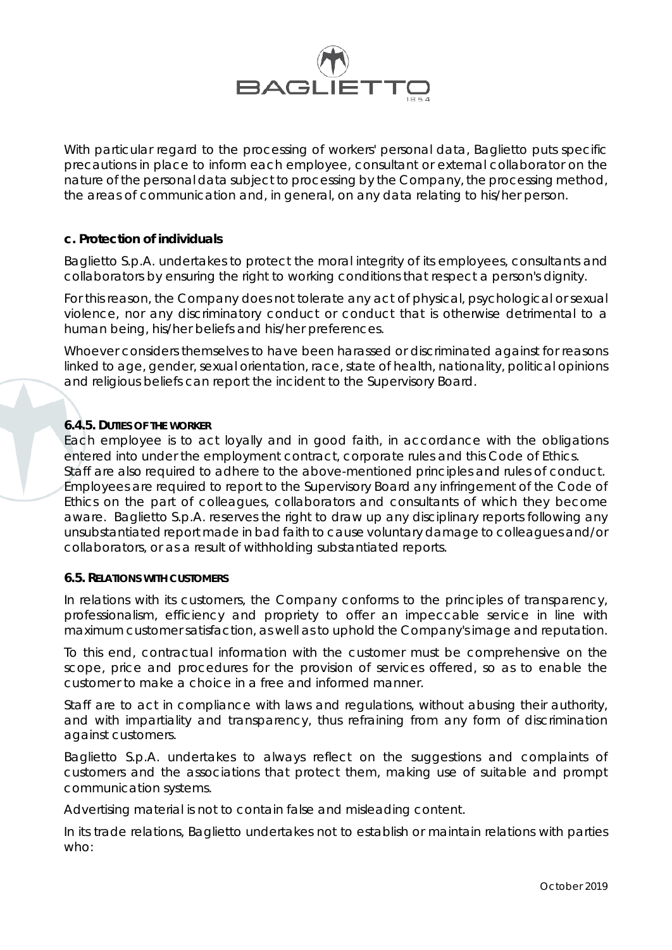

With particular regard to the processing of workers' personal data, Baglietto puts specific precautions in place to inform each employee, consultant or external collaborator on the nature of the personal data subject to processing by the Company, the processing method, the areas of communication and, in general, on any data relating to his/her person.

## **c. Protection of individuals**

Baglietto S.p.A. undertakes to protect the moral integrity of its employees, consultants and collaborators by ensuring the right to working conditions that respect a person's dignity.

For this reason, the Company does not tolerate any act of physical, psychological or sexual violence, nor any discriminatory conduct or conduct that is otherwise detrimental to a human being, his/her beliefs and his/her preferences.

Whoever considers themselves to have been harassed or discriminated against for reasons linked to age, gender, sexual orientation, race, state of health, nationality, political opinions and religious beliefs can report the incident to the Supervisory Board.

## **6.4.5. DUTIES OF THE WORKER**

Each employee is to act loyally and in good faith, in accordance with the obligations entered into under the employment contract, corporate rules and this Code of Ethics. Staff are also required to adhere to the above-mentioned principles and rules of conduct. Employees are required to report to the Supervisory Board any infringement of the Code of Ethics on the part of colleagues, collaborators and consultants of which they become aware. Baglietto S.p.A. reserves the right to draw up any disciplinary reports following any unsubstantiated report made in bad faith to cause voluntary damage to colleagues and/or collaborators, or as a result of withholding substantiated reports.

#### **6.5. RELATIONS WITH CUSTOMERS**

In relations with its customers, the Company conforms to the principles of transparency, professionalism, efficiency and propriety to offer an impeccable service in line with maximum customer satisfaction, as well as to uphold the Company's image and reputation.

To this end, contractual information with the customer must be comprehensive on the scope, price and procedures for the provision of services offered, so as to enable the customer to make a choice in a free and informed manner.

Staff are to act in compliance with laws and regulations, without abusing their authority, and with impartiality and transparency, thus refraining from any form of discrimination against customers.

Baglietto S.p.A. undertakes to always reflect on the suggestions and complaints of customers and the associations that protect them, making use of suitable and prompt communication systems.

Advertising material is not to contain false and misleading content.

In its trade relations, Baglietto undertakes not to establish or maintain relations with parties who: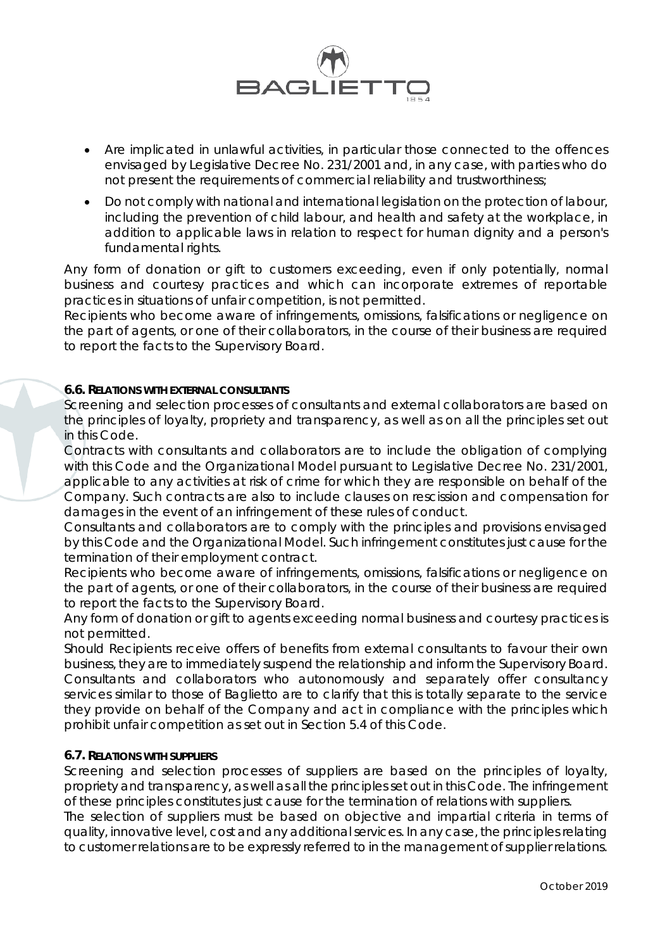

- Are implicated in unlawful activities, in particular those connected to the offences envisaged by Legislative Decree No. 231/2001 and, in any case, with parties who do not present the requirements of commercial reliability and trustworthiness;
- Do not comply with national and international legislation on the protection of labour, including the prevention of child labour, and health and safety at the workplace, in addition to applicable laws in relation to respect for human dignity and a person's fundamental rights.

Any form of donation or gift to customers exceeding, even if only potentially, normal business and courtesy practices and which can incorporate extremes of reportable practices in situations of unfair competition, is not permitted.

Recipients who become aware of infringements, omissions, falsifications or negligence on the part of agents, or one of their collaborators, in the course of their business are required to report the facts to the Supervisory Board.

# **6.6. RELATIONS WITH EXTERNAL CONSULTANTS**

Screening and selection processes of consultants and external collaborators are based on the principles of loyalty, propriety and transparency, as well as on all the principles set out in this Code.

Contracts with consultants and collaborators are to include the obligation of complying with this Code and the Organizational Model pursuant to Legislative Decree No. 231/2001, applicable to any activities at risk of crime for which they are responsible on behalf of the Company. Such contracts are also to include clauses on rescission and compensation for damages in the event of an infringement of these rules of conduct.

Consultants and collaborators are to comply with the principles and provisions envisaged by this Code and the Organizational Model. Such infringement constitutes just cause for the termination of their employment contract.

Recipients who become aware of infringements, omissions, falsifications or negligence on the part of agents, or one of their collaborators, in the course of their business are required to report the facts to the Supervisory Board.

Any form of donation or gift to agents exceeding normal business and courtesy practices is not permitted.

Should Recipients receive offers of benefits from external consultants to favour their own business, they are to immediately suspend the relationship and inform the Supervisory Board. Consultants and collaborators who autonomously and separately offer consultancy services similar to those of Baglietto are to clarify that this is totally separate to the service they provide on behalf of the Company and act in compliance with the principles which prohibit unfair competition as set out in Section 5.4 of this Code.

# **6.7. RELATIONS WITH SUPPLIERS**

Screening and selection processes of suppliers are based on the principles of loyalty, propriety and transparency, as well as all the principles set out in this Code. The infringement of these principles constitutes just cause for the termination of relations with suppliers.

The selection of suppliers must be based on objective and impartial criteria in terms of quality, innovative level, cost and any additional services. In any case, the principles relating to customer relations are to be expressly referred to in the management of supplier relations.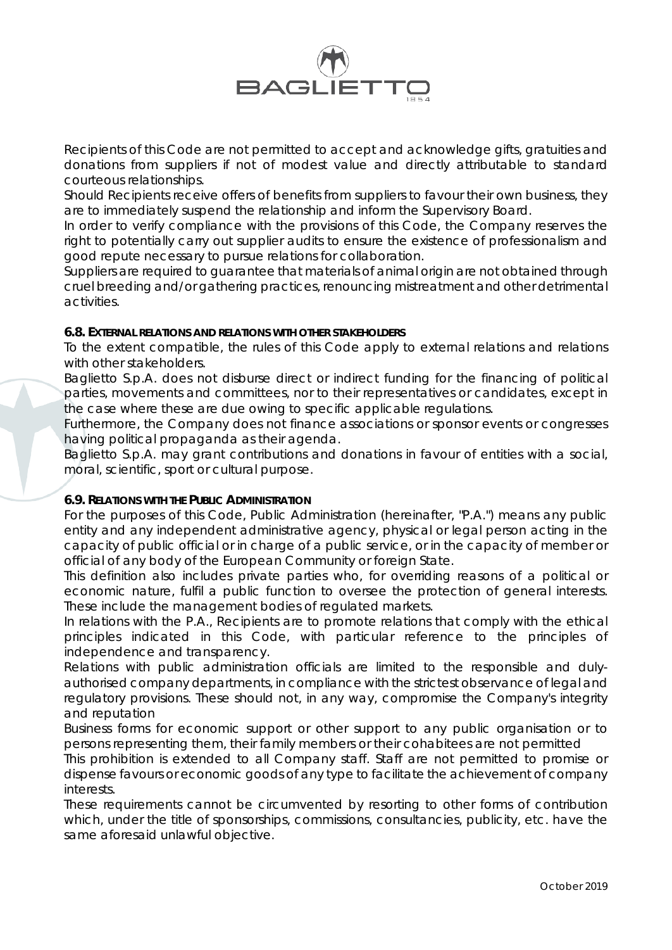

Recipients of this Code are not permitted to accept and acknowledge gifts, gratuities and donations from suppliers if not of modest value and directly attributable to standard courteous relationships.

Should Recipients receive offers of benefits from suppliers to favour their own business, they are to immediately suspend the relationship and inform the Supervisory Board.

In order to verify compliance with the provisions of this Code, the Company reserves the right to potentially carry out supplier audits to ensure the existence of professionalism and good repute necessary to pursue relations for collaboration.

Suppliers are required to guarantee that materials of animal origin are not obtained through cruel breeding and/or gathering practices, renouncing mistreatment and other detrimental activities.

# **6.8. EXTERNAL RELATIONS AND RELATIONS WITH OTHER STAKEHOLDERS**

To the extent compatible, the rules of this Code apply to external relations and relations with other stakeholders.

Baglietto S.p.A. does not disburse direct or indirect funding for the financing of political parties, movements and committees, nor to their representatives or candidates, except in the case where these are due owing to specific applicable regulations.

Furthermore, the Company does not finance associations or sponsor events or congresses having political propaganda as their agenda.

Baglietto S.p.A. may grant contributions and donations in favour of entities with a social, moral, scientific, sport or cultural purpose.

# **6.9. RELATIONS WITH THE PUBLIC ADMINISTRATION**

For the purposes of this Code, Public Administration (hereinafter, "P.A.") means any public entity and any independent administrative agency, physical or legal person acting in the capacity of public official or in charge of a public service, or in the capacity of member or official of any body of the European Community or foreign State.

This definition also includes private parties who, for overriding reasons of a political or economic nature, fulfil a public function to oversee the protection of general interests. These include the management bodies of regulated markets.

In relations with the P.A., Recipients are to promote relations that comply with the ethical principles indicated in this Code, with particular reference to the principles of independence and transparency.

Relations with public administration officials are limited to the responsible and dulyauthorised company departments, in compliance with the strictest observance of legal and regulatory provisions. These should not, in any way, compromise the Company's integrity and reputation

Business forms for economic support or other support to any public organisation or to persons representing them, their family members or their cohabitees are not permitted

This prohibition is extended to all Company staff. Staff are not permitted to promise or dispense favours or economic goods of any type to facilitate the achievement of company interests.

These requirements cannot be circumvented by resorting to other forms of contribution which, under the title of sponsorships, commissions, consultancies, publicity, etc. have the same aforesaid unlawful objective.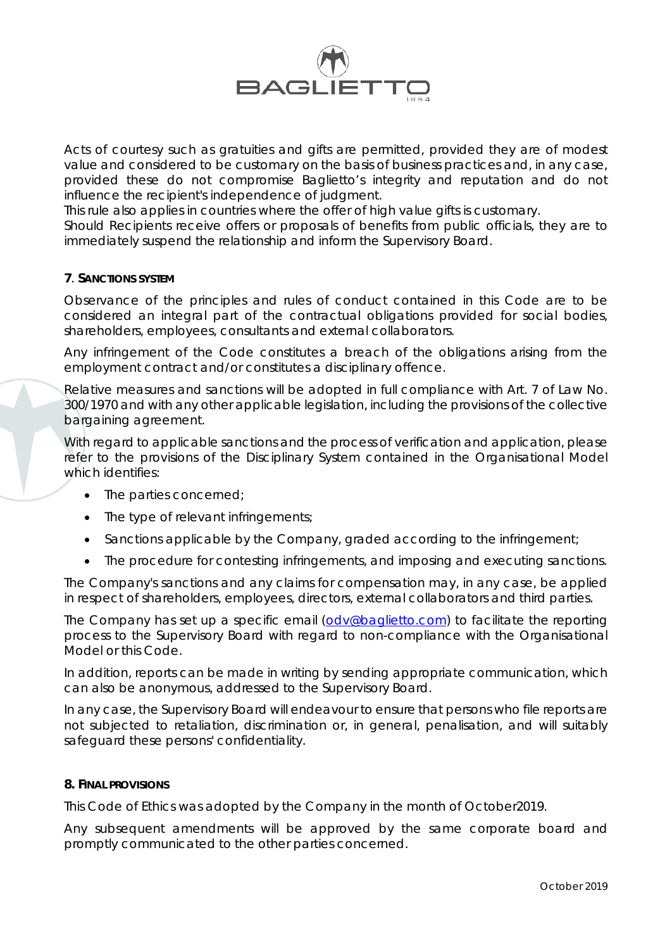

Acts of courtesy such as gratuities and gifts are permitted, provided they are of modest value and considered to be customary on the basis of business practices and, in any case, provided these do not compromise Baglietto's integrity and reputation and do not influence the recipient's independence of judgment.

This rule also applies in countries where the offer of high value gifts is customary.

Should Recipients receive offers or proposals of benefits from public officials, they are to immediately suspend the relationship and inform the Supervisory Board.

## **7**. **SANCTIONS SYSTEM**

Observance of the principles and rules of conduct contained in this Code are to be considered an integral part of the contractual obligations provided for social bodies, shareholders, employees, consultants and external collaborators.

Any infringement of the Code constitutes a breach of the obligations arising from the employment contract and/or constitutes a disciplinary offence.

Relative measures and sanctions will be adopted in full compliance with Art. 7 of Law No. 300/1970 and with any other applicable legislation, including the provisions of the collective bargaining agreement.

With regard to applicable sanctions and the process of verification and application, please refer to the provisions of the Disciplinary System contained in the Organisational Model which identifies:

- The parties concerned:
- The type of relevant infringements;
- Sanctions applicable by the Company, graded according to the infringement;
- The procedure for contesting infringements, and imposing and executing sanctions.

The Company's sanctions and any claims for compensation may, in any case, be applied in respect of shareholders, employees, directors, external collaborators and third parties.

The Company has set up a specific email [\(odv@baglietto.com\)](mailto:odv@baglietto.com) to facilitate the reporting process to the Supervisory Board with regard to non-compliance with the Organisational Model or this Code.

In addition, reports can be made in writing by sending appropriate communication, which can also be anonymous, addressed to the Supervisory Board.

In any case, the Supervisory Board will endeavour to ensure that persons who file reports are not subjected to retaliation, discrimination or, in general, penalisation, and will suitably safeguard these persons' confidentiality.

#### **8. FINAL PROVISIONS**

This Code of Ethics was adopted by the Company in the month of October2019.

Any subsequent amendments will be approved by the same corporate board and promptly communicated to the other parties concerned.